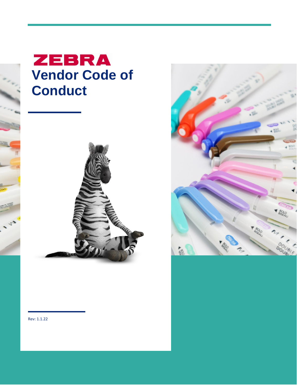





Rev: 1.1.22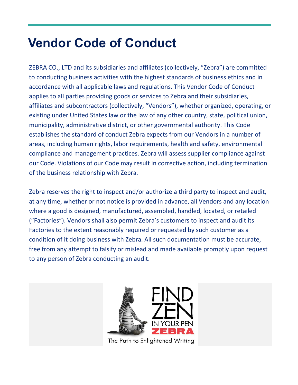# **Vendor Code of Conduct**

ZEBRA CO., LTD and its subsidiaries and affiliates (collectively, "Zebra") are committed to conducting business activities with the highest standards of business ethics and in accordance with all applicable laws and regulations. This Vendor Code of Conduct applies to all parties providing goods or services to Zebra and their subsidiaries, affiliates and subcontractors (collectively, "Vendors"), whether organized, operating, or existing under United States law or the law of any other country, state, political union, municipality, administrative district, or other governmental authority. This Code establishes the standard of conduct Zebra expects from our Vendors in a number of areas, including human rights, labor requirements, health and safety, environmental compliance and management practices. Zebra will assess supplier compliance against our Code. Violations of our Code may result in corrective action, including termination of the business relationship with Zebra.

Zebra reserves the right to inspect and/or authorize a third party to inspect and audit, at any time, whether or not notice is provided in advance, all Vendors and any location where a good is designed, manufactured, assembled, handled, located, or retailed ("Factories"). Vendors shall also permit Zebra's customers to inspect and audit its Factories to the extent reasonably required or requested by such customer as a condition of it doing business with Zebra. All such documentation must be accurate, free from any attempt to falsify or mislead and made available promptly upon request to any person of Zebra conducting an audit.

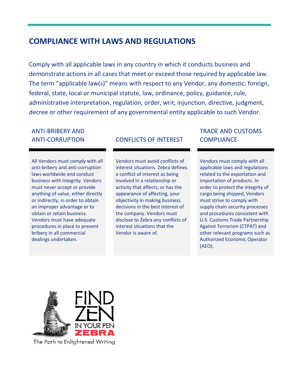## **COMPLIANCE WITH LAWS AND REGULATIONS**

Comply with all applicable laws in any country in which it conducts business and demonstrate actions in all cases that meet or exceed those required by applicable law. The term "applicable law(s)" means with respect to any Vendor, any domestic, foreign, federal, state, local or municipal statute, law, ordinance, policy, guidance, rule, administrative interpretation, regulation, order, writ, injunction, directive, judgment, decree or other requirement of any governmental entity applicable to such Vendor.

# ANTI-BRIBERY AND

All Vendors must comply with all anti-bribery and anti-corruption laws worldwide and conduct business with integrity. Vendors must never accept or provide anything of value, either directly or indirectly, in order to obtain an improper advantage or to obtain or retain business. Vendors must have adequate procedures in place to prevent bribery in all commercial dealings undertaken.

## ANTI-CORRUPTION CONFLICTS OF INTEREST

Vendors must avoid conflicts of interest situations. Zebra defines a conflict of interest as being involved in a relationship or activity that affects, or has the appearance of affecting, your objectivity in making business decisions in the best interest of the company. Vendors must disclose to Zebra any conflicts of interest situations that the Vendor is aware of.

### TRADE AND CUSTOMS **COMPLIANCE**

Vendors must comply with all applicable laws and regulations related to the exportation and importation of products. In order to protect the integrity of cargo being shipped, Vendors must strive to comply with supply chain security processes and procedures consistent with U.S. Customs Trade Partnership Against Terrorism (CTPAT) and other relevant programs such as Authorized Economic Operator (AEO).

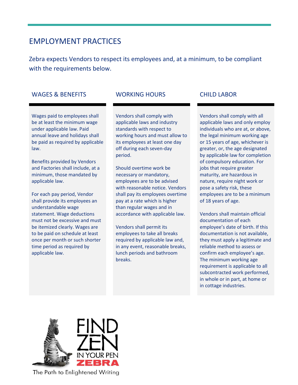## EMPLOYMENT PRACTICES

Zebra expects Vendors to respect its employees and, at a minimum, to be compliant with the requirements below.

#### WAGES & BENEFITS WORKING HOURS CHILD LABOR

Wages paid to employees shall be at least the minimum wage under applicable law. Paid annual leave and holidays shall be paid as required by applicable law.

Benefits provided by Vendors and Factories shall include, at a minimum, those mandated by applicable law.

For each pay period, Vendor shall provide its employees an understandable wage statement. Wage deductions must not be excessive and must be itemized clearly. Wages are to be paid on schedule at least once per month or such shorter time period as required by applicable law.

Vendors shall comply with applicable laws and industry standards with respect to working hours and must allow to its employees at least one day off during each seven-day period.

Should overtime work be necessary or mandatory, employees are to be advised with reasonable notice. Vendors shall pay its employees overtime pay at a rate which is higher than regular wages and in accordance with applicable law.

Vendors shall permit its employees to take all breaks required by applicable law and, in any event, reasonable breaks, lunch periods and bathroom breaks.

Vendors shall comply with all applicable laws and only employ individuals who are at, or above, the legal minimum working age or 15 years of age, whichever is greater, or, the age designated by applicable law for completion of compulsory education. For jobs that require greater maturity, are hazardous in nature, require night work or pose a safety risk, these employees are to be a minimum of 18 years of age.

Vendors shall maintain official documentation of each employee's date of birth. If this documentation is not available, they must apply a legitimate and reliable method to assess or confirm each employee's age. The minimum working age requirement is applicable to all subcontracted work performed, in whole or in part, at home or in cottage industries.

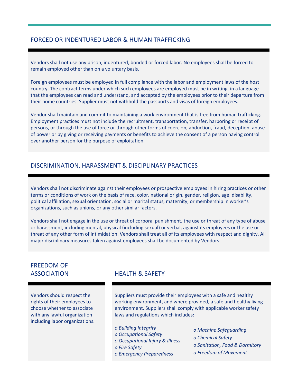#### FORCED OR INDENTURED LABOR & HUMAN TRAFFICKING

Vendors shall not use any prison, indentured, bonded or forced labor. No employees shall be forced to remain employed other than on a voluntary basis.

Foreign employees must be employed in full compliance with the labor and employment laws of the host country. The contract terms under which such employees are employed must be in writing, in a language that the employees can read and understand, and accepted by the employees prior to their departure from their home countries. Supplier must not withhold the passports and visas of foreign employees.

Vendor shall maintain and commit to maintaining a work environment that is free from human trafficking. Employment practices must not include the recruitment, transportation, transfer, harboring or receipt of persons, or through the use of force or through other forms of coercion, abduction, fraud, deception, abuse of power or by giving or receiving payments or benefits to achieve the consent of a person having control over another person for the purpose of exploitation.

#### DISCRIMINATION, HARASSMENT & DISCIPLINARY PRACTICES

Vendors shall not discriminate against their employees or prospective employees in hiring practices or other terms or conditions of work on the basis of race, color, national origin, gender, religion, age, disability, political affiliation, sexual orientation, social or marital status, maternity, or membership in worker's organizations, such as unions, or any other similar factors.

Vendors shall not engage in the use or threat of corporal punishment, the use or threat of any type of abuse or harassment, including mental, physical (including sexual) or verbal, against its employees or the use or threat of any other form of intimidation. Vendors shall treat all of its employees with respect and dignity. All major disciplinary measures taken against employees shall be documented by Vendors.

# FREEDOM OF

Vendors should respect the rights of their employees to choose whether to associate with any lawful organization including labor organizations.

#### ASSOCIATION HEALTH & SAFETY

Suppliers must provide their employees with a safe and healthy working environment, and where provided, a safe and healthy living environment. Suppliers shall comply with applicable worker safety laws and regulations which includes:

*o Building Integrity o Occupational Safety o Occupational Injury & Illness o Fire Safety o Emergency Preparedness*

- *o Machine Safeguarding*
- *o Chemical Safety*
- *o Sanitation, Food & Dormitory*
- *o Freedom of Movement*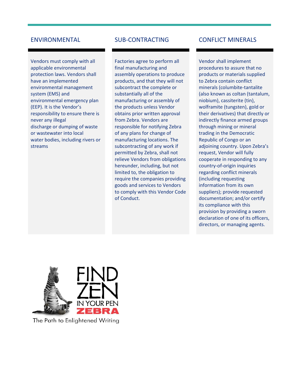Vendors must comply with all applicable environmental protection laws. Vendors shall have an implemented environmental management system (EMS) and environmental emergency plan (EEP). It is the Vendor's responsibility to ensure there is never any illegal discharge or dumping of waste or wastewater into local water bodies, including rivers or streams

Factories agree to perform all final manufacturing and assembly operations to produce products, and that they will not subcontract the complete or substantially all of the manufacturing or assembly of the products unless Vendor obtains prior written approval from Zebra. Vendors are responsible for notifying Zebra of any plans for change of manufacturing locations. The subcontracting of any work if permitted by Zebra, shall not relieve Vendors from obligations hereunder, including, but not limited to, the obligation to require the companies providing goods and services to Vendors to comply with this Vendor Code of Conduct.

### ENVIRONMENTAL SUB-CONTRACTING CONFLICT MINERALS

Vendor shall implement procedures to assure that no products or materials supplied to Zebra contain conflict minerals (columbite-tantalite (also known as coltan (tantalum, niobium), cassiterite (tin), wolframite (tungsten), gold or their derivatives) that directly or indirectly finance armed groups through mining or mineral trading in the Democratic Republic of Congo or an adjoining country. Upon Zebra's request, Vendor will fully cooperate in responding to any country-of-origin inquiries regarding conflict minerals (including requesting information from its own suppliers); provide requested documentation; and/or certify its compliance with this provision by providing a sworn declaration of one of its officers, directors, or managing agents.